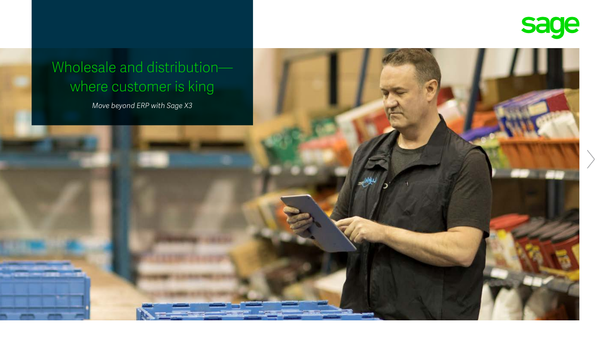



# where customer is king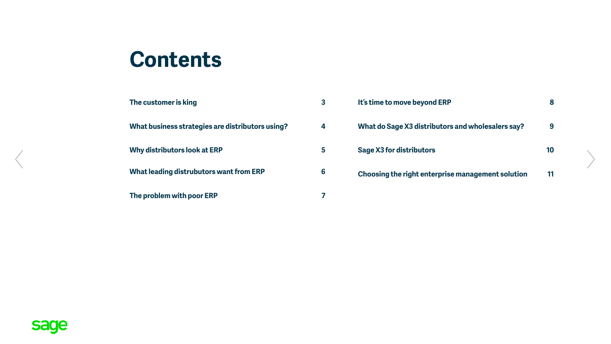### **Contents**

| The customer is king                             | 3 | It's time to move beyond ERP                      | 8  |
|--------------------------------------------------|---|---------------------------------------------------|----|
| What business strategies are distributors using? | 4 | What do Sage X3 distributors and wholesalers say? | 9  |
| Why distributors look at ERP                     | 5 | <b>Sage X3 for distributors</b>                   | 10 |
| What leading distrubutors want from ERP          | 6 | Choosing the right enterprise management solution | 11 |
| The problem with poor ERP                        | 7 |                                                   |    |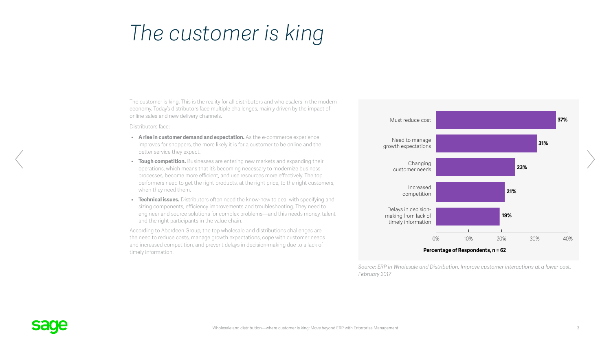### <span id="page-2-0"></span>*The customer is king*

The customer is king. This is the reality for all distributors and wholesalers in the modern economy. Today's distributors face multiple challenges, mainly driven by the impact of online sales and new delivery channels.

Distributors face:

- **A rise in customer demand and expectation.** As the e-commerce experience improves for shoppers, the more likely it is for a customer to be online and the better service they expect.
- **Tough competition.** Businesses are entering new markets and expanding their operations, which means that it's becoming necessary to modernize business processes, become more efficient, and use resources more effectively. The top performers need to get the right products, at the right price, to the right customers, when they need them.
- **Technical issues.** Distributors often need the know-how to deal with specifying and sizing components, efficiency improvements and troubleshooting. They need to engineer and source solutions for complex problems—and this needs money, talent and the right participants in the value chain.

According to Aberdeen Group, the top wholesale and distributions challenges are the need to reduce costs, manage growth expectations, cope with customer needs and increased competition, and prevent delays in decision-making due to a lack of timely information.



*Source: ERP in Wholesale and Distribution. Improve customer interactions at a lower cost. February 2017*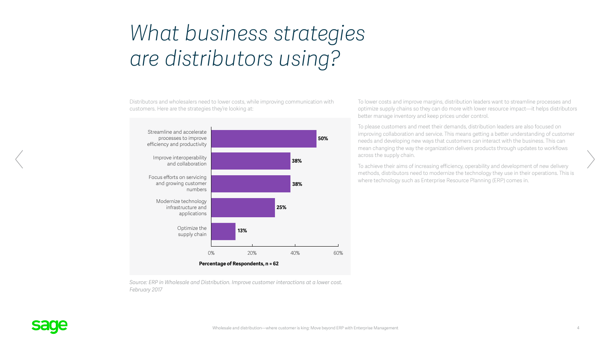## <span id="page-3-0"></span>*What business strategies are distributors using?*

Distributors and wholesalers need to lower costs, while improving communication with customers. Here are the strategies they're looking at:



*Source: ERP in Wholesale and Distribution. Improve customer interactions at a lower cost. February 2017*

To lower costs and improve margins, distribution leaders want to streamline processes and optimize supply chains so they can do more with lower resource impact—it helps distributors better manage inventory and keep prices under control.

To please customers and meet their demands, distribution leaders are also focused on improving collaboration and service. This means getting a better understanding of customer needs and developing new ways that customers can interact with the business. This can mean changing the way the organization delivers products through updates to workflows across the supply chain.

To achieve their aims of increasing efficiency, operability and development of new delivery methods, distributors need to modernize the technology they use in their operations. This is where technology such as Enterprise Resource Planning (ERP) comes in.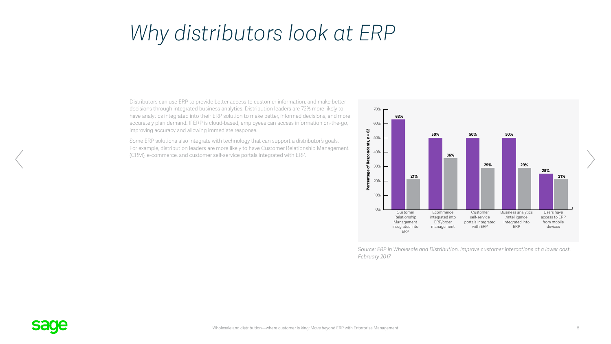### *Why distributors look at ERP*

Distributors can use ERP to provide better access to customer information, and make better decisions through integrated business analytics. Distribution leaders are 72% more likely to have analytics integrated into their ERP solution to make better, informed decisions, and more accurately plan demand. If ERP is cloud-based, employees can access information on-the-go, improving accuracy and allowing immediate response.

Some ERP solutions also integrate with technology that can support a distributor's goals. For example, distribution leaders are more likely to have Customer Relationship Management (CRM), e-commerce, and customer self-service portals integrated with ERP.



*Source: ERP in Wholesale and Distribution. Improve customer interactions at a lower cost. February 2017*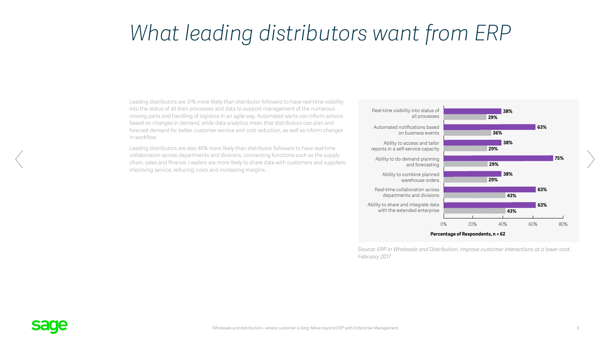### <span id="page-5-0"></span>*What leading distributors want from ERP*

Leading distributors are 31% more likely than distributor followers to have real-time visibility into the status of all their processes and data to support management of the numerous moving parts and handling of logistics in an agile way. Automated alerts can inform actions based on changes in demand, while data analytics mean that distributors can plan and forecast demand for better customer service and cost reduction, as well as inform changes in workflow.

Leading distributors are also 46% more likely than distributor followers to have real-time collaboration across departments and divisions, connecting functions such as the supply chain, sales and finance. Leaders are more likely to share data with customers and suppliers, improving service, reducing costs and increasing margins.



*Source: ERP in Wholesale and Distribution. Improve customer interactions at a lower cost. February 2017*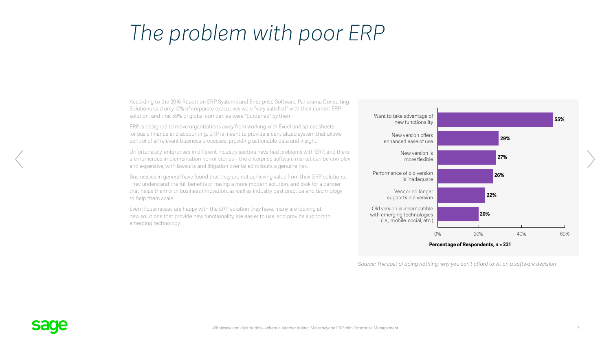### <span id="page-6-0"></span>*The problem with poor ERP*

According to the 2016 Report on ERP Systems and Enterprise Software, Panorama Consulting Solutions said only 12% of corporate executives were "very satisfied" with their current ERP solution, and that 59% of global companies were "burdened" by them.

ERP is designed to move organizations away from working with Excel and spreadsheets for basic finance and accounting. ERP is meant to provide a centralized system that allows control of all relevant business processes, providing actionable data and insight.

Unfortunately, enterprises in different industry sectors have had problems with ERP, and there are numerous implementation horror stories – the enterprise software market can be complex and expensive, with lawsuits and litigation over failed rollouts a genuine risk.

Businesses in general have found that they are not achieving value from their ERP solutions. They understand the full benefits of having a more modern solution, and look for a partner that helps them with business innovation, as well as industry best practice and technology to help them scale.

Even if businesses are happy with the ERP solution they have, many are looking at new solutions that provide new functionality, are easier to use, and provide support to emerging technology.



*Source: The cost of doing nothing, why you can't afford to sit on a software decision*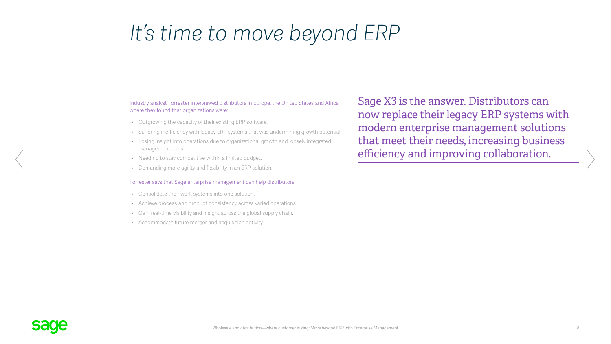### <span id="page-7-0"></span>*It's time to move beyond ERP*

#### Industry analyst Forrester interviewed distributors in Europe, the United States and Africa where they found that organizations were:

- Outgrowing the capacity of their existing ERP software.
- Suffering inefficiency with legacy ERP systems that was undermining growth potential.
- Losing insight into operations due to organizational growth and loosely integrated management tools.
- Needing to stay competitive within a limited budget.
- Demanding more agility and flexibility in an ERP solution.

#### Forrester says that Sage enterprise management can help distributors:

- Consolidate their work systems into one solution.
- Achieve process and product consistency across varied operations.
- Gain real-time visibility and insight across the global supply chain.
- Accommodate future merger and acquisition activity.

Sage X3 is the answer. Distributors can now replace their legacy ERP systems with modern enterprise management solutions that meet their needs, increasing business efficiency and improving collaboration.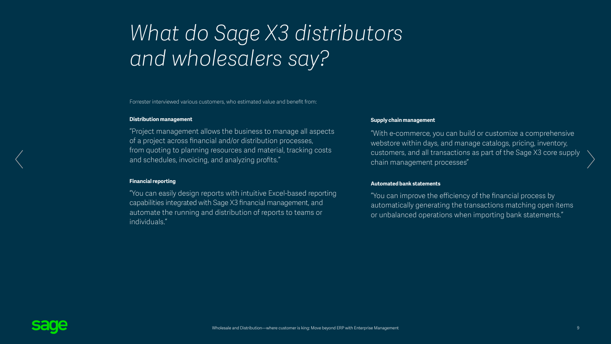## *What do Sage X3 distributors and wholesalers say?*

Forrester interviewed various customers, who estimated value and benefit from:

#### **Distribution management**

"Project management allows the business to manage all aspects of a project across financial and/or distribution processes, from quoting to planning resources and material, tracking costs and schedules, invoicing, and analyzing profits."

#### **Financial reporting**

"You can easily design reports with intuitive Excel-based reporting capabilities integrated with Sage X3 financial management, and automate the running and distribution of reports to teams or individuals."

#### **Supply chain management**

"With e-commerce, you can build or customize a comprehensive webstore within days, and manage catalogs, pricing, inventory, customers, and all transactions as part of the Sage X3 core supply chain management processes"

#### **Automated bank statements**

"You can improve the efficiency of the financial process by automatically generating the transactions matching open items or unbalanced operations when importing bank statements."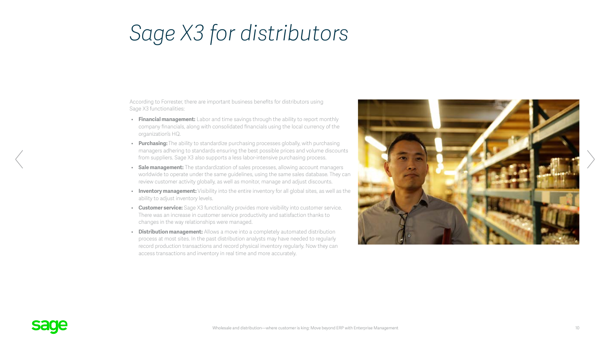### <span id="page-9-0"></span>*Sage X3 for distributors*

According to Forrester, there are important business benefits for distributors using Sage X3 functionalities:

- **Financial management:** Labor and time savings through the ability to report monthly company financials, along with consolidated financials using the local currency of the organization's HQ.
- **Purchasing:** The ability to standardize purchasing processes globally, with purchasing managers adhering to standards ensuring the best possible prices and volume discounts from suppliers. Sage X3 also supports a less labor-intensive purchasing process.
- **Sale management:** The standardization of sales processes, allowing account managers worldwide to operate under the same guidelines, using the same sales database. They can review customer activity globally, as well as monitor, manage and adjust discounts.
- **Inventory management:** Visibility into the entire inventory for all global sites, as well as the ability to adjust inventory levels.
- **Customer service:** Sage X3 functionality provides more visibility into customer service. There was an increase in customer service productivity and satisfaction thanks to changes in the way relationships were managed.
- **Distribution management:** Allows a move into a completely automated distribution process at most sites. In the past distribution analysts may have needed to regularly record production transactions and record physical inventory regularly. Now they can access transactions and inventory in real time and more accurately.

![](_page_9_Picture_8.jpeg)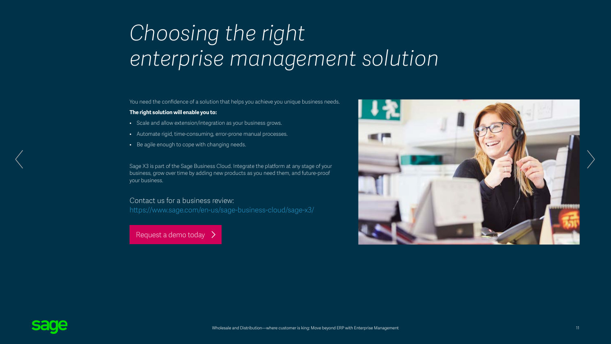## <span id="page-10-0"></span>*Choosing the right enterprise management solution*

You need the confidence of a solution that helps you achieve you unique business needs.

#### **The right solution will enable you to:**

- Scale and allow extension/integration as your business grows.
- Automate rigid, time-consuming, error-prone manual processes.
- Be agile enough to cope with changing needs.

Sage X3 is part of the Sage Business Cloud. Integrate the platform at any stage of your business, grow over time by adding new products as you need them, and future-proof your business.

#### Contact us for a business review:

<https://www.sage.com/en-us/sage-business-cloud/sage-x3/>

 [Request a demo today](https://www.sage.com/en-us/sage-business-cloud/sage-x3/request-a-demo/)

![](_page_10_Picture_10.jpeg)